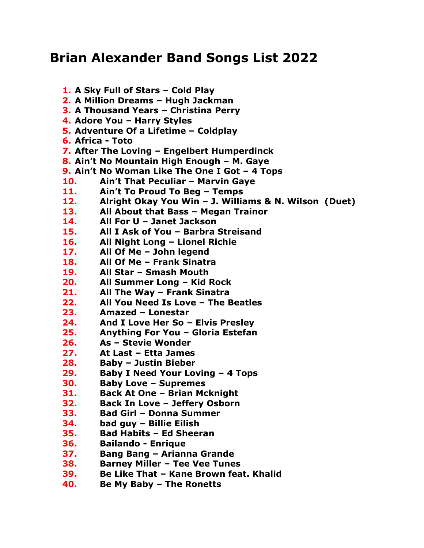## **Brian Alexander Band Songs List 2022**

**1. A Sky Full of Stars – Cold Play 2. A Million Dreams – Hugh Jackman 3. A Thousand Years – Christina Perry 4. Adore You – Harry Styles 5. Adventure Of a Lifetime – Coldplay 6. Africa - Toto 7. After The Loving – Engelbert Humperdinck 8. Ain't No Mountain High Enough – M. Gaye 9. Ain't No Woman Like The One I Got – 4 Tops 10. Ain't That Peculiar – Marvin Gaye 11. Ain't To Proud To Beg – Temps 12. Alright Okay You Win – J. Williams & N. Wilson (Duet) 13. All About that Bass – Megan Trainor 14. All For U – Janet Jackson 15. All I Ask of You – Barbra Streisand 16. All Night Long – Lionel Richie 17. All Of Me – John legend 18. All Of Me – Frank Sinatra 19. All Star – Smash Mouth 20. All Summer Long – Kid Rock 21. All The Way – Frank Sinatra 22. All You Need Is Love – The Beatles 23. Amazed – Lonestar 24. And I Love Her So – Elvis Presley 25. Anything For You – Gloria Estefan 26. As – Stevie Wonder 27. At Last – Etta James 28. Baby – Justin Bieber 29. Baby I Need Your Loving – 4 Tops 30. Baby Love – Supremes 31. Back At One – Brian Mcknight 32. Back In Love – Jeffery Osborn 33. Bad Girl – Donna Summer 34. bad guy – Billie Eilish 35. Bad Habits – Ed Sheeran 36. Bailando - Enrique 37. Bang Bang – Arianna Grande 38. Barney Miller – Tee Vee Tunes 39. Be Like That – Kane Brown feat. Khalid 40. Be My Baby – The Ronetts**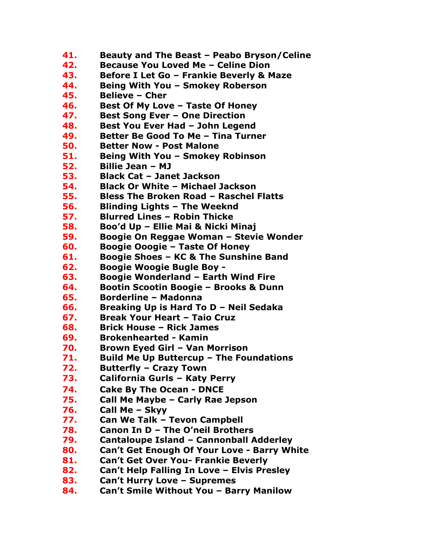**41. Beauty and The Beast – Peabo Bryson/Celine 42. Because You Loved Me – Celine Dion 43. Before I Let Go – Frankie Beverly & Maze 44. Being With You – Smokey Roberson 45. Believe – Cher 46. Best Of My Love – Taste Of Honey 47. Best Song Ever – One Direction 48. Best You Ever Had – John Legend 49. Better Be Good To Me – Tina Turner 50. Better Now - Post Malone 51. Being With You – Smokey Robinson 52. Billie Jean – MJ 53. Black Cat – Janet Jackson 54. Black Or White – Michael Jackson 55. Bless The Broken Road – Raschel Flatts 56. Blinding Lights – The Weeknd 57. Blurred Lines – Robin Thicke 58. Boo'd Up – Ellie Mai & Nicki Minaj 59. Boogie On Reggae Woman – Stevie Wonder 60. Boogie Ooogie – Taste Of Honey 61. Boogie Shoes – KC & The Sunshine Band 62. Boogie Woogie Bugle Boy - 63. Boogie Wonderland – Earth Wind Fire 64. Bootin Scootin Boogie – Brooks & Dunn 65. Borderline – Madonna 66. Breaking Up is Hard To D – Neil Sedaka 67. Break Your Heart – Taio Cruz 68. Brick House – Rick James 69. Brokenhearted - Kamin 70. Brown Eyed Girl – Van Morrison 71. Build Me Up Buttercup – The Foundations 72. Butterfly – Crazy Town 73. California Gurls – Katy Perry 74. Cake By The Ocean - DNCE 75. Call Me Maybe – Carly Rae Jepson 76. Call Me – Skyy 77. Can We Talk – Tevon Campbell 78. Canon In D – The O'neil Brothers 79. Cantaloupe Island – Cannonball Adderley 80. Can't Get Enough Of Your Love - Barry White 81. Can't Get Over You- Frankie Beverly 82. Can't Help Falling In Love – Elvis Presley 83. Can't Hurry Love – Supremes 84. Can't Smile Without You – Barry Manilow**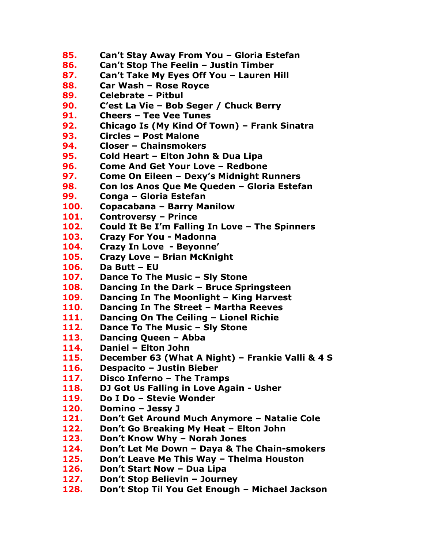- **85. Can't Stay Away From You – Gloria Estefan**
- **86. Can't Stop The Feelin – Justin Timber**
- **87. Can't Take My Eyes Off You – Lauren Hill**
- **88. Car Wash – Rose Royce**
- **89. Celebrate – Pitbul**
- **90. C'est La Vie – Bob Seger / Chuck Berry**
- **91. Cheers – Tee Vee Tunes**
- **92. Chicago Is (My Kind Of Town) – Frank Sinatra**
- **93. Circles – Post Malone**
- **94. Closer – Chainsmokers**
- **95. Cold Heart – Elton John & Dua Lipa**
- **96. Come And Get Your Love – Redbone**
- **97. Come On Eileen – Dexy's Midnight Runners**
- **98. Con los Anos Que Me Queden – Gloria Estefan**
- **99. Conga – Gloria Estefan**
- **100. Copacabana – Barry Manilow**
- **101. Controversy – Prince**
- **102. Could It Be I'm Falling In Love – The Spinners**
- **103. Crazy For You - Madonna**
- **104. Crazy In Love - Beyonne'**
- **105. Crazy Love – Brian McKnight**
- **106. Da Butt – EU**
- **107. Dance To The Music – Sly Stone**
- **108. Dancing In the Dark – Bruce Springsteen**
- **109. Dancing In The Moonlight – King Harvest**
- **110. Dancing In The Street – Martha Reeves**
- **111. Dancing On The Ceiling – Lionel Richie**
- **112. Dance To The Music – Sly Stone**
- **113. Dancing Queen – Abba**
- **114. Daniel – Elton John**
- **115. December 63 (What A Night) – Frankie Valli & 4 S**
- **116. Despacito – Justin Bieber**
- **117. Disco Inferno – The Tramps**
- **118. DJ Got Us Falling in Love Again - Usher**
- **119. Do I Do – Stevie Wonder**
- **120. Domino – Jessy J**
- **121. Don't Get Around Much Anymore – Natalie Cole**
- **122. Don't Go Breaking My Heat – Elton John**
- **123. Don't Know Why – Norah Jones**
- **124. Don't Let Me Down – Daya & The Chain-smokers**
- **125. Don't Leave Me This Way – Thelma Houston**
- **126. Don't Start Now – Dua Lipa**
- **127. Don't Stop Believin – Journey**
- **128. Don't Stop Til You Get Enough – Michael Jackson**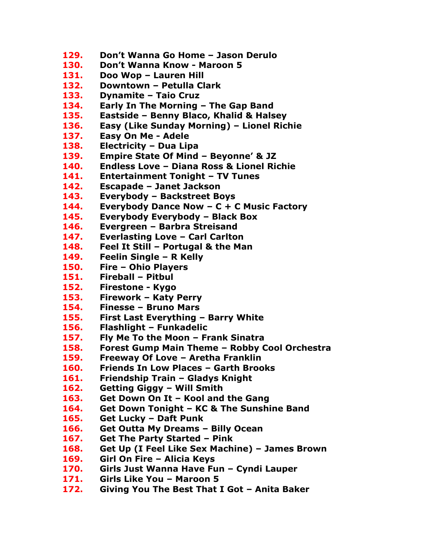- **129. Don't Wanna Go Home – Jason Derulo**
- **130. Don't Wanna Know - Maroon 5**
- **131. Doo Wop – Lauren Hill**
- **132. Downtown – Petulla Clark**
- **133. Dynamite – Taio Cruz**
- **134. Early In The Morning – The Gap Band**
- **135. Eastside – Benny Blaco, Khalid & Halsey**
- **136. Easy (Like Sunday Morning) – Lionel Richie**
- **137. Easy On Me - Adele**
- **138. Electricity – Dua Lipa**
- **139. Empire State Of Mind – Beyonne' & JZ**
- **140. Endless Love – Diana Ross & Lionel Richie**
- **141. Entertainment Tonight – TV Tunes**
- **142. Escapade – Janet Jackson**
- **143. Everybody – Backstreet Boys**
- **144. Everybody Dance Now – C + C Music Factory**
- **145. Everybody Everybody – Black Box**
- **146. Evergreen – Barbra Streisand**
- **147. Everlasting Love – Carl Carlton**
- **148. Feel It Still – Portugal & the Man**
- **149. Feelin Single – R Kelly**
- **150. Fire – Ohio Players**
- **151. Fireball – Pitbul**
- **152. Firestone - Kygo**
- **153. Firework – Katy Perry**
- **154. Finesse – Bruno Mars**
- **155. First Last Everything – Barry White**
- **156. Flashlight – Funkadelic**
- **157. Fly Me To the Moon – Frank Sinatra**
- **158. Forest Gump Main Theme – Robby Cool Orchestra**
- **159. Freeway Of Love – Aretha Franklin**
- **160. Friends In Low Places – Garth Brooks**
- **161. Friendship Train – Gladys Knight**
- **162. Getting Giggy – Will Smith**
- **163. Get Down On It – Kool and the Gang**
- **164. Get Down Tonight – KC & The Sunshine Band**
- **165. Get Lucky – Daft Punk**
- **166. Get Outta My Dreams – Billy Ocean**
- **167. Get The Party Started – Pink**
- **168. Get Up (I Feel Like Sex Machine) – James Brown**
- **169. Girl On Fire – Alicia Keys**
- **170. Girls Just Wanna Have Fun – Cyndi Lauper**
- **171. Girls Like You – Maroon 5**
- **172. Giving You The Best That I Got – Anita Baker**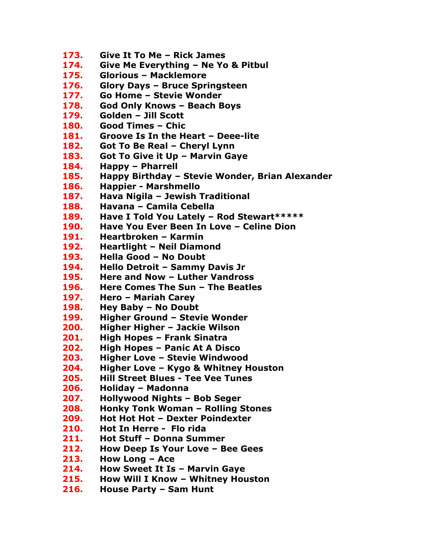**173. Give It To Me – Rick James 174. Give Me Everything – Ne Yo & Pitbul 175. Glorious – Macklemore 176. Glory Days – Bruce Springsteen 177. Go Home – Stevie Wonder 178. God Only Knows – Beach Boys 179. Golden – Jill Scott 180. Good Times – Chic 181. Groove Is In the Heart – Deee-lite 182. Got To Be Real – Cheryl Lynn 183. Got To Give it Up – Marvin Gaye 184. Happy – Pharrell 185. Happy Birthday – Stevie Wonder, Brian Alexander 186. Happier - Marshmello 187. Hava Nigila – Jewish Traditional 188. Havana – Camila Cebella 189. Have I Told You Lately – Rod Stewart\*\*\*\*\* 190. Have You Ever Been In Love – Celine Dion 191. Heartbroken – Karmin 192. Heartlight – Neil Diamond 193. Hella Good – No Doubt 194. Hello Detroit – Sammy Davis Jr 195. Here and Now – Luther Vandross 196. Here Comes The Sun – The Beatles 197. Hero – Mariah Carey 198. Hey Baby – No Doubt 199. Higher Ground – Stevie Wonder 200. Higher Higher – Jackie Wilson 201. High Hopes – Frank Sinatra 202. High Hopes – Panic At A Disco 203. Higher Love – Stevie Windwood 204. Higher Love – Kygo & Whitney Houston 205. Hill Street Blues - Tee Vee Tunes 206. Holiday – Madonna 207. Hollywood Nights – Bob Seger 208. Honky Tonk Woman – Rolling Stones 209. Hot Hot Hot – Dexter Poindexter 210. Hot In Herre - Flo rida 211. Hot Stuff – Donna Summer 212. How Deep Is Your Love – Bee Gees 213. How Long – Ace 214. How Sweet It Is – Marvin Gaye 215. How Will I Know – Whitney Houston 216. House Party – Sam Hunt**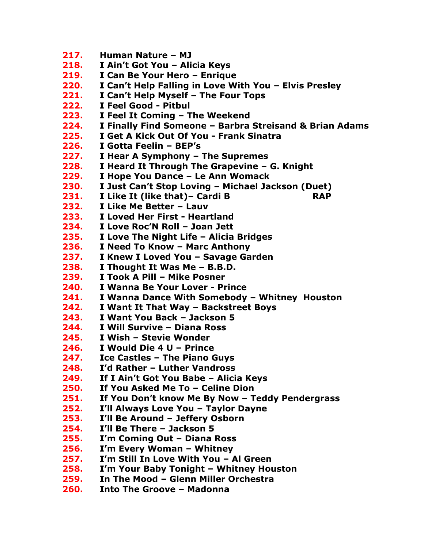**217. Human Nature – MJ 218. I Ain't Got You – Alicia Keys 219. I Can Be Your Hero – Enrique 220. I Can't Help Falling in Love With You – Elvis Presley 221. I Can't Help Myself – The Four Tops 222. I Feel Good - Pitbul 223. I Feel It Coming – The Weekend 224. I Finally Find Someone – Barbra Streisand & Brian Adams 225. I Get A Kick Out Of You - Frank Sinatra 226. I Gotta Feelin – BEP's 227. I Hear A Symphony – The Supremes 228. I Heard It Through The Grapevine – G. Knight 229. I Hope You Dance – Le Ann Womack 230. I Just Can't Stop Loving – Michael Jackson (Duet) 231. I Like It (like that)– Cardi B RAP 232. I Like Me Better – Lauv 233. I Loved Her First - Heartland 234. I Love Roc'N Roll – Joan Jett 235. I Love The Night Life – Alicia Bridges 236. I Need To Know – Marc Anthony 237. I Knew I Loved You – Savage Garden 238. I Thought It Was Me – B.B.D. 239. I Took A Pill – Mike Posner 240. I Wanna Be Your Lover - Prince 241. I Wanna Dance With Somebody – Whitney Houston 242. I Want It That Way – Backstreet Boys 243. I Want You Back – Jackson 5 244. I Will Survive – Diana Ross 245. I Wish – Stevie Wonder 246. I Would Die 4 U – Prince 247. Ice Castles – The Piano Guys 248. I'd Rather – Luther Vandross 249. If I Ain't Got You Babe – Alicia Keys 250. If You Asked Me To – Celine Dion 251. If You Don't know Me By Now – Teddy Pendergrass 252. I'll Always Love You – Taylor Dayne 253. I'll Be Around – Jeffery Osborn 254. I'll Be There – Jackson 5 255. I'm Coming Out – Diana Ross 256. I'm Every Woman – Whitney 257. I'm Still In Love With You – Al Green 258. I'm Your Baby Tonight – Whitney Houston 259. In The Mood – Glenn Miller Orchestra 260. Into The Groove – Madonna**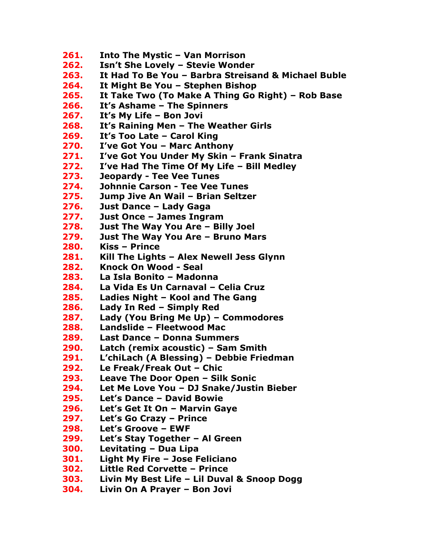- **261. Into The Mystic – Van Morrison**
- **262. Isn't She Lovely – Stevie Wonder**
- **263. It Had To Be You – Barbra Streisand & Michael Buble**
- **264. It Might Be You – Stephen Bishop**
- **265. It Take Two (To Make A Thing Go Right) – Rob Base**
- **266. It's Ashame – The Spinners**
- **267. It's My Life – Bon Jovi**
- **268. It's Raining Men – The Weather Girls**
- **269. It's Too Late – Carol King**
- **270. I've Got You – Marc Anthony**
- **271. I've Got You Under My Skin – Frank Sinatra**
- **272. I've Had The Time Of My Life – Bill Medley**
- **273. Jeopardy - Tee Vee Tunes**
- **274. Johnnie Carson - Tee Vee Tunes**
- **275. Jump Jive An Wail – Brian Seltzer**
- **276. Just Dance – Lady Gaga**
- **277. Just Once – James Ingram**
- **278. Just The Way You Are – Billy Joel**
- **279. Just The Way You Are – Bruno Mars**
- **280. Kiss – Prince**
- **281. Kill The Lights – Alex Newell Jess Glynn**
- **282. Knock On Wood - Seal**
- **283. La Isla Bonito – Madonna**
- **284. La Vida Es Un Carnaval – Celia Cruz**
- **285. Ladies Night – Kool and The Gang**
- **286. Lady In Red – Simply Red**
- **287. Lady (You Bring Me Up) – Commodores**
- **288. Landslide – Fleetwood Mac**
- **289. Last Dance – Donna Summers**
- **290. Latch (remix acoustic) – Sam Smith**
- **291. L'chiLach (A Blessing) – Debbie Friedman**
- **292. Le Freak/Freak Out – Chic**
- **293. Leave The Door Open – Silk Sonic**
- **294. Let Me Love You – DJ Snake/Justin Bieber**
- **295. Let's Dance – David Bowie**
- **296. Let's Get It On – Marvin Gaye**
- **297. Let's Go Crazy – Prince**
- **298. Let's Groove – EWF**
- **299. Let's Stay Together – Al Green**
- **300. Levitating – Dua Lipa**
- **301. Light My Fire – Jose Feliciano**
- **302. Little Red Corvette – Prince**
- **303. Livin My Best Life – Lil Duval & Snoop Dogg**
- **304. Livin On A Prayer – Bon Jovi**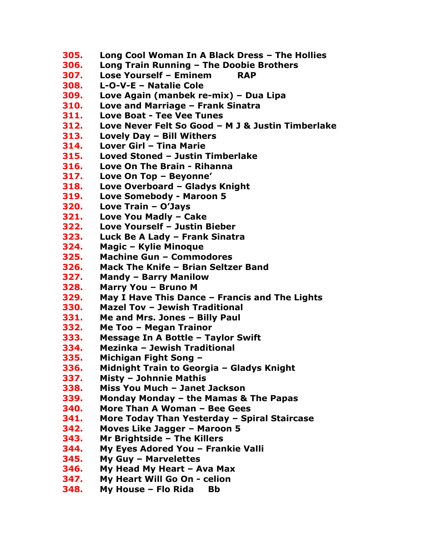**305. Long Cool Woman In A Black Dress – The Hollies 306. Long Train Running – The Doobie Brothers 307. Lose Yourself – Eminem RAP 308. L-O-V-E – Natalie Cole 309. Love Again (manbek re-mix) – Dua Lipa 310. Love and Marriage – Frank Sinatra 311. Love Boat - Tee Vee Tunes 312. Love Never Felt So Good – M J & Justin Timberlake 313. Lovely Day – Bill Withers 314. Lover Girl – Tina Marie 315. Loved Stoned – Justin Timberlake 316. Love On The Brain - Rihanna 317. Love On Top – Beyonne' 318. Love Overboard – Gladys Knight 319. Love Somebody - Maroon 5 320. Love Train – O'Jays 321. Love You Madly – Cake 322. Love Yourself – Justin Bieber 323. Luck Be A Lady – Frank Sinatra 324. Magic – Kylie Minoque 325. Machine Gun – Commodores 326. Mack The Knife – Brian Seltzer Band 327. Mandy – Barry Manilow 328. Marry You – Bruno M 329. May I Have This Dance – Francis and The Lights 330. Mazel Tov – Jewish Traditional 331. Me and Mrs. Jones – Billy Paul 332. Me Too – Megan Trainor 333. Message In A Bottle – Taylor Swift 334. Mezinka – Jewish Traditional 335. Michigan Fight Song – 336. Midnight Train to Georgia – Gladys Knight 337. Misty – Johnnie Mathis 338. Miss You Much – Janet Jackson 339. Monday Monday – the Mamas & The Papas 340. More Than A Woman – Bee Gees 341. More Today Than Yesterday – Spiral Staircase 342. Moves Like Jagger – Maroon 5 343. Mr Brightside – The Killers 344. My Eyes Adored You – Frankie Valli 345. My Guy – Marvelettes 346. My Head My Heart – Ava Max 347. My Heart Will Go On - celion 348. My House – Flo Rida Bb**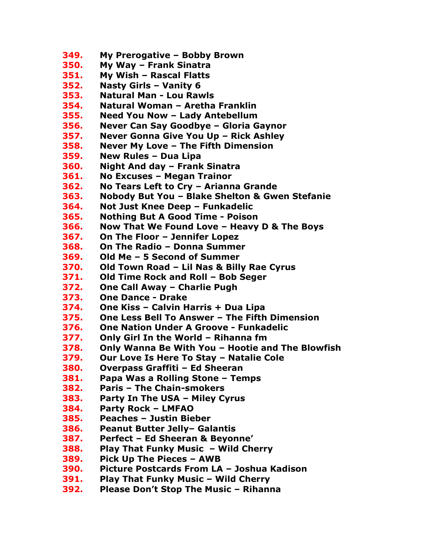**349. My Prerogative – Bobby Brown 350. My Way – Frank Sinatra 351. My Wish – Rascal Flatts 352. Nasty Girls – Vanity 6 353. Natural Man - Lou Rawls 354. Natural Woman – Aretha Franklin 355. Need You Now – Lady Antebellum 356. Never Can Say Goodbye – Gloria Gaynor 357. Never Gonna Give You Up – Rick Ashley 358. Never My Love – The Fifth Dimension 359. New Rules – Dua Lipa 360. Night And day – Frank Sinatra 361. No Excuses – Megan Trainor 362. No Tears Left to Cry – Arianna Grande 363. Nobody But You – Blake Shelton & Gwen Stefanie 364. Not Just Knee Deep – Funkadelic 365. Nothing But A Good Time - Poison 366. Now That We Found Love – Heavy D & The Boys 367. On The Floor – Jennifer Lopez 368. On The Radio – Donna Summer 369. Old Me – 5 Second of Summer 370. Old Town Road – Lil Nas & Billy Rae Cyrus 371. Old Time Rock and Roll – Bob Seger 372. One Call Away – Charlie Pugh 373. One Dance - Drake 374. One Kiss – Calvin Harris + Dua Lipa 375. One Less Bell To Answer – The Fifth Dimension 376. One Nation Under A Groove - Funkadelic 377. Only Girl In the World – Rihanna fm 378. Only Wanna Be With You – Hootie and The Blowfish 379. Our Love Is Here To Stay – Natalie Cole 380. Overpass Graffiti – Ed Sheeran 381. Papa Was a Rolling Stone – Temps 382. Paris – The Chain-smokers 383. Party In The USA – Miley Cyrus 384. Party Rock – LMFAO 385. Peaches – Justin Bieber 386. Peanut Butter Jelly– Galantis 387. Perfect – Ed Sheeran & Beyonne' 388. Play That Funky Music – Wild Cherry 389. Pick Up The Pieces – AWB 390. Picture Postcards From LA – Joshua Kadison 391. Play That Funky Music – Wild Cherry 392. Please Don't Stop The Music – Rihanna**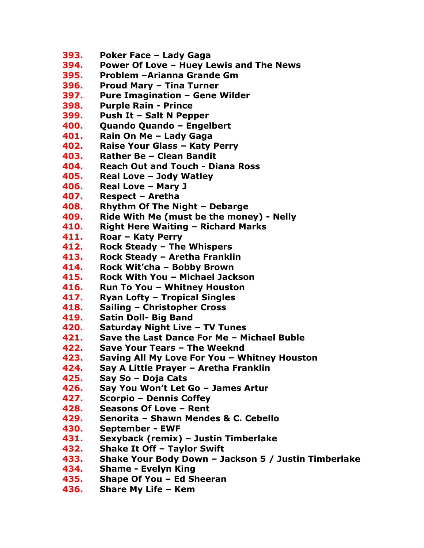- **393. Poker Face – Lady Gaga**
- **394. Power Of Love – Huey Lewis and The News**
- **395. Problem –Arianna Grande Gm**
- **396. Proud Mary – Tina Turner**
- **397. Pure Imagination – Gene Wilder**
- **398. Purple Rain - Prince**
- **399. Push It – Salt N Pepper**
- **400. Quando Quando – Engelbert**
- **401. Rain On Me – Lady Gaga**
- **402. Raise Your Glass – Katy Perry**
- **403. Rather Be – Clean Bandit**
- **404. Reach Out and Touch - Diana Ross**
- **405. Real Love – Jody Watley**
- **406. Real Love – Mary J**
- **407. Respect – Aretha**
- **408. Rhythm Of The Night – Debarge**
- **409. Ride With Me (must be the money) - Nelly**
- **410. Right Here Waiting – Richard Marks**
- **411. Roar – Katy Perry**
- **412. Rock Steady – The Whispers**
- **413. Rock Steady – Aretha Franklin**
- **414. Rock Wit'cha – Bobby Brown**
- **415. Rock With You – Michael Jackson**
- **416. Run To You – Whitney Houston**
- **417. Ryan Lofty – Tropical Singles**
- **418. Sailing – Christopher Cross**
- **419. Satin Doll- Big Band**
- **420. Saturday Night Live – TV Tunes**
- **421. Save the Last Dance For Me – Michael Buble**
- **422. Save Your Tears – The Weeknd**
- **423. Saving All My Love For You – Whitney Houston**
- **424. Say A Little Prayer – Aretha Franklin**
- **425. Say So – Doja Cats**
- **426. Say You Won't Let Go – James Artur**
- **427. Scorpio – Dennis Coffey**
- **428. Seasons Of Love – Rent**
- **429. Senorita – Shawn Mendes & C. Cebello**
- **430. September - EWF**
- **431. Sexyback (remix) – Justin Timberlake**
- **432. Shake It Off – Taylor Swift**
- **433. Shake Your Body Down – Jackson 5 / Justin Timberlake**
- **434. Shame - Evelyn King**
- **435. Shape Of You – Ed Sheeran**
- **436. Share My Life – Kem**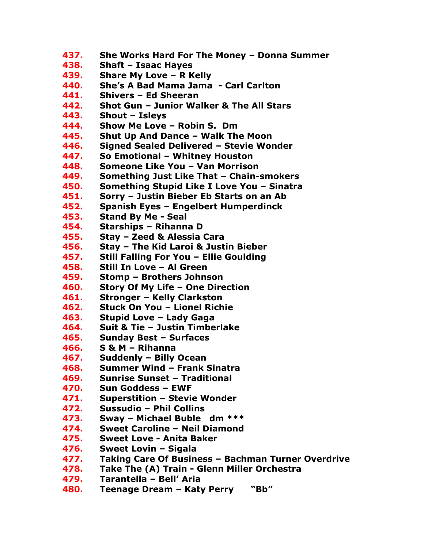**437. She Works Hard For The Money – Donna Summer 438. Shaft – Isaac Hayes 439. Share My Love – R Kelly 440. She's A Bad Mama Jama - Carl Carlton 441. Shivers – Ed Sheeran 442. Shot Gun – Junior Walker & The All Stars 443. Shout – Isleys 444. Show Me Love – Robin S. Dm 445. Shut Up And Dance – Walk The Moon 446. Signed Sealed Delivered – Stevie Wonder 447. So Emotional – Whitney Houston 448. Someone Like You – Van Morrison 449. Something Just Like That – Chain-smokers 450. Something Stupid Like I Love You – Sinatra 451. Sorry – Justin Bieber Eb Starts on an Ab 452. Spanish Eyes – Engelbert Humperdinck 453. Stand By Me - Seal 454. Starships – Rihanna D 455. Stay – Zeed & Alessia Cara 456. Stay – The Kid Laroi & Justin Bieber 457. Still Falling For You – Ellie Goulding 458. Still In Love – Al Green 459. Stomp – Brothers Johnson 460. Story Of My Life – One Direction 461. Stronger – Kelly Clarkston 462. Stuck On You – Lionel Richie 463. Stupid Love – Lady Gaga 464. Suit & Tie – Justin Timberlake 465. Sunday Best – Surfaces 466. S & M – Rihanna 467. Suddenly – Billy Ocean 468. Summer Wind – Frank Sinatra 469. Sunrise Sunset – Traditional 470. Sun Goddess – EWF 471. Superstition – Stevie Wonder 472. Sussudio – Phil Collins 473. Sway – Michael Buble dm \*\*\* 474. Sweet Caroline – Neil Diamond 475. Sweet Love - Anita Baker 476. Sweet Lovin – Sigala 477. Taking Care Of Business – Bachman Turner Overdrive 478. Take The (A) Train - Glenn Miller Orchestra 479. Tarantella – Bell' Aria 480. Teenage Dream – Katy Perry "Bb"**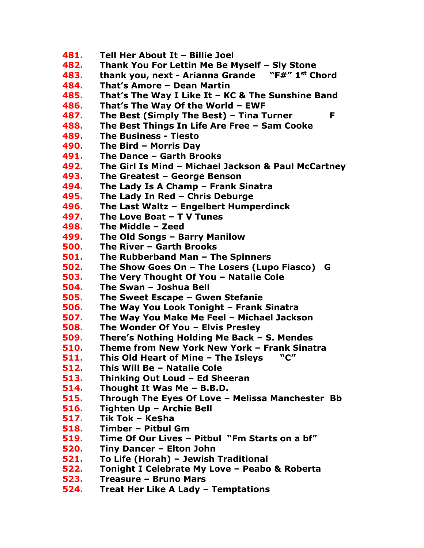**481. Tell Her About It – Billie Joel 482. Thank You For Lettin Me Be Myself – Sly Stone 483. thank you, next - Arianna Grande "F#" 1st Chord 484. That's Amore – Dean Martin 485. That's The Way I Like It – KC & The Sunshine Band 486. That's The Way Of the World – EWF 487. The Best (Simply The Best) – Tina Turner F 488. The Best Things In Life Are Free – Sam Cooke 489. The Business - Tiesto 490. The Bird – Morris Day 491. The Dance – Garth Brooks 492. The Girl Is Mind – Michael Jackson & Paul McCartney 493. The Greatest – George Benson 494. The Lady Is A Champ – Frank Sinatra 495. The Lady In Red – Chris Deburge 496. The Last Waltz – Engelbert Humperdinck 497. The Love Boat – T V Tunes 498. The Middle – Zeed 499. The Old Songs – Barry Manilow 500. The River – Garth Brooks 501. The Rubberband Man – The Spinners 502. The Show Goes On – The Losers (Lupo Fiasco) G 503. The Very Thought Of You – Natalie Cole 504. The Swan – Joshua Bell 505. The Sweet Escape – Gwen Stefanie 506. The Way You Look Tonight – Frank Sinatra 507. The Way You Make Me Feel – Michael Jackson 508. The Wonder Of You – Elvis Presley 509. There's Nothing Holding Me Back – S. Mendes 510. Theme from New York New York – Frank Sinatra 511. This Old Heart of Mine – The Isleys "C" 512. This Will Be – Natalie Cole 513. Thinking Out Loud – Ed Sheeran 514. Thought It Was Me – B.B.D. 515. Through The Eyes Of Love – Melissa Manchester Bb 516. Tighten Up – Archie Bell 517. Tik Tok – Ke\$ha 518. Timber – Pitbul Gm 519. Time Of Our Lives – Pitbul "Fm Starts on a bf" 520. Tiny Dancer – Elton John 521. To Life (Horah) – Jewish Traditional 522. Tonight I Celebrate My Love – Peabo & Roberta 523. Treasure – Bruno Mars 524. Treat Her Like A Lady – Temptations**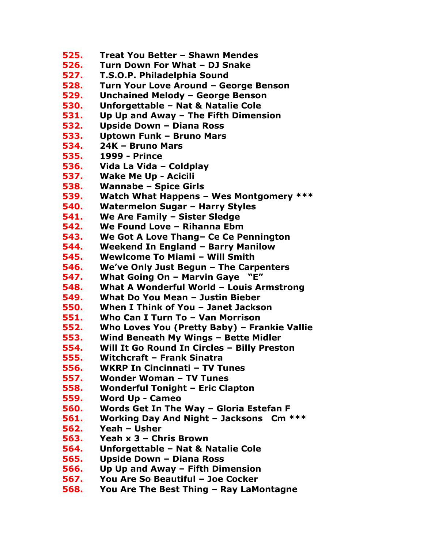- **525. Treat You Better – Shawn Mendes**
- **526. Turn Down For What – DJ Snake**
- **527. T.S.O.P. Philadelphia Sound**
- **528. Turn Your Love Around – George Benson**
- **529. Unchained Melody – George Benson**
- **530. Unforgettable – Nat & Natalie Cole**
- **531. Up Up and Away – The Fifth Dimension**
- **532. Upside Down – Diana Ross**
- **533. Uptown Funk – Bruno Mars**
- **534. 24K – Bruno Mars**
- **535. 1999 - Prince**
- **536. Vida La Vida – Coldplay**
- **537. Wake Me Up - Acicili**
- **538. Wannabe – Spice Girls**
- **539. Watch What Happens – Wes Montgomery \*\*\***
- **540. Watermelon Sugar – Harry Styles**
- **541. We Are Family – Sister Sledge**
- **542. We Found Love – Rihanna Ebm**
- **543. We Got A Love Thang– Ce Ce Pennington**
- **544. Weekend In England – Barry Manilow**
- **545. Wewlcome To Miami – Will Smith**
- **546. We've Only Just Begun – The Carpenters**
- **547. What Going On – Marvin Gaye "E"**
- **548. What A Wonderful World – Louis Armstrong**
- **549. What Do You Mean – Justin Bieber**
- **550. When I Think of You – Janet Jackson**
- **551. Who Can I Turn To – Van Morrison**
- **552. Who Loves You (Pretty Baby) – Frankie Vallie**
- **553. Wind Beneath My Wings – Bette Midler**
- **554. Will It Go Round In Circles – Billy Preston**
- **555. Witchcraft – Frank Sinatra**
- **556. WKRP In Cincinnati – TV Tunes**
- **557. Wonder Woman – TV Tunes**
- **558. Wonderful Tonight – Eric Clapton**
- **559. Word Up - Cameo**
- **560. Words Get In The Way – Gloria Estefan F**
- **561. Working Day And Night – Jacksons Cm \*\*\***
- **562. Yeah – Usher**
- **563. Yeah x 3 – Chris Brown**
- **564. Unforgettable – Nat & Natalie Cole**
- **565. Upside Down – Diana Ross**
- **566. Up Up and Away – Fifth Dimension**
- **567. You Are So Beautiful – Joe Cocker**
- **568. You Are The Best Thing – Ray LaMontagne**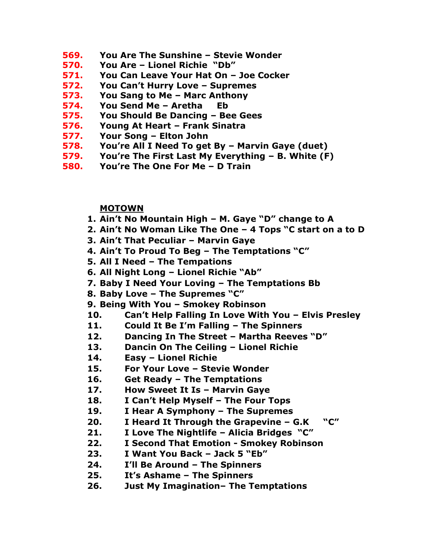- **569. You Are The Sunshine – Stevie Wonder**
- **570. You Are – Lionel Richie "Db"**
- **571. You Can Leave Your Hat On – Joe Cocker**
- **572. You Can't Hurry Love – Supremes**
- **573. You Sang to Me – Marc Anthony**
- **574. You Send Me – Aretha Eb**
- **575. You Should Be Dancing – Bee Gees**
- **576. Young At Heart – Frank Sinatra**
- **577. Your Song – Elton John**
- **578. You're All I Need To get By – Marvin Gaye (duet)**
- **579. You're The First Last My Everything – B. White (F)**
- **580. You're The One For Me – D Train**

## **MOTOWN**

- **1. Ain't No Mountain High – M. Gaye "D" change to A**
- **2. Ain't No Woman Like The One – 4 Tops "C start on a to D**
- **3. Ain't That Peculiar – Marvin Gaye**
- **4. Ain't To Proud To Beg – The Temptations "C"**
- **5. All I Need – The Tempations**
- **6. All Night Long – Lionel Richie "Ab"**
- **7. Baby I Need Your Loving – The Temptations Bb**
- **8. Baby Love – The Supremes "C"**
- **9. Being With You – Smokey Robinson**
- **10. Can't Help Falling In Love With You – Elvis Presley**
- **11. Could It Be I'm Falling – The Spinners**
- **12. Dancing In The Street – Martha Reeves "D"**
- **13. Dancin On The Ceiling – Lionel Richie**
- **14. Easy – Lionel Richie**
- **15. For Your Love – Stevie Wonder**
- **16. Get Ready – The Temptations**
- **17. How Sweet It Is – Marvin Gaye**
- **18. I Can't Help Myself – The Four Tops**
- **19. I Hear A Symphony – The Supremes**
- **20. I Heard It Through the Grapevine – G.K "C"**
- **21. I Love The Nightlife – Alicia Bridges "C"**
- **22. I Second That Emotion - Smokey Robinson**
- **23. I Want You Back – Jack 5 "Eb"**
- **24. I'll Be Around – The Spinners**
- **25. It's Ashame – The Spinners**
- **26. Just My Imagination– The Temptations**